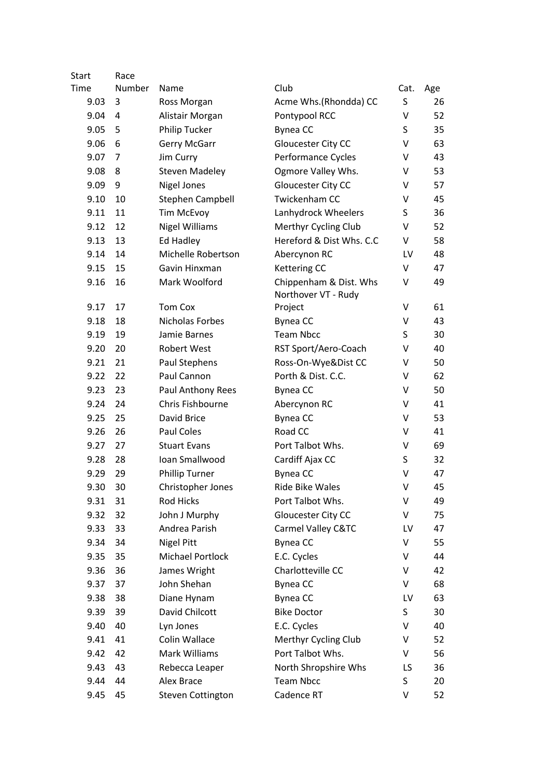| Start | Race   |                          |                                               |      |     |
|-------|--------|--------------------------|-----------------------------------------------|------|-----|
| Time  | Number | Name                     | Club                                          | Cat. | Age |
| 9.03  | 3      | Ross Morgan              | Acme Whs.(Rhondda) CC                         | S    | 26  |
| 9.04  | 4      | Alistair Morgan          | Pontypool RCC                                 | V    | 52  |
| 9.05  | 5      | <b>Philip Tucker</b>     | Bynea CC                                      | S    | 35  |
| 9.06  | 6      | Gerry McGarr             | Gloucester City CC                            | V    | 63  |
| 9.07  | 7      | Jim Curry                | Performance Cycles                            | v    | 43  |
| 9.08  | 8      | <b>Steven Madeley</b>    | Ogmore Valley Whs.                            | v    | 53  |
| 9.09  | 9      | Nigel Jones              | Gloucester City CC                            | v    | 57  |
| 9.10  | 10     | Stephen Campbell         | <b>Twickenham CC</b>                          | V    | 45  |
| 9.11  | 11     | <b>Tim McEvoy</b>        | Lanhydrock Wheelers                           | S    | 36  |
| 9.12  | 12     | <b>Nigel Williams</b>    | Merthyr Cycling Club                          | V    | 52  |
| 9.13  | 13     | Ed Hadley                | Hereford & Dist Whs. C.C                      | V    | 58  |
| 9.14  | 14     | Michelle Robertson       | Abercynon RC                                  | LV   | 48  |
| 9.15  | 15     | Gavin Hinxman            | <b>Kettering CC</b>                           | V    | 47  |
| 9.16  | 16     | Mark Woolford            | Chippenham & Dist. Whs<br>Northover VT - Rudy | V    | 49  |
| 9.17  | 17     | <b>Tom Cox</b>           | Project                                       | V    | 61  |
| 9.18  | 18     | Nicholas Forbes          | Bynea CC                                      | V    | 43  |
| 9.19  | 19     | Jamie Barnes             | <b>Team Nbcc</b>                              | S    | 30  |
| 9.20  | 20     | <b>Robert West</b>       | RST Sport/Aero-Coach                          | V    | 40  |
| 9.21  | 21     | Paul Stephens            | Ross-On-Wye&Dist CC                           | v    | 50  |
| 9.22  | 22     | Paul Cannon              | Porth & Dist. C.C.                            | V    | 62  |
| 9.23  | 23     | Paul Anthony Rees        | Bynea CC                                      | v    | 50  |
| 9.24  | 24     | Chris Fishbourne         | Abercynon RC                                  | V    | 41  |
| 9.25  | 25     | David Brice              | Bynea CC                                      | V    | 53  |
| 9.26  | 26     | Paul Coles               | Road CC                                       | V    | 41  |
| 9.27  | 27     | <b>Stuart Evans</b>      | Port Talbot Whs.                              | v    | 69  |
| 9.28  | 28     | Ioan Smallwood           | Cardiff Ajax CC                               | S    | 32  |
| 9.29  | 29     | <b>Phillip Turner</b>    | Bynea CC                                      | V    | 47  |
| 9.30  | 30     | Christopher Jones        | Ride Bike Wales                               | V    | 45  |
| 9.31  | 31     | Rod Hicks                | Port Talbot Whs.                              | V    | 49  |
| 9.32  | 32     | John J Murphy            | Gloucester City CC                            | V    | 75  |
| 9.33  | 33     | Andrea Parish            | Carmel Valley C&TC                            | LV   | 47  |
| 9.34  | 34     | <b>Nigel Pitt</b>        | Bynea CC                                      | Λ    | 55  |
| 9.35  | 35     | <b>Michael Portlock</b>  | E.C. Cycles                                   | Λ    | 44  |
| 9.36  | 36     | James Wright             | Charlotteville CC                             | V    | 42  |
| 9.37  | 37     | John Shehan              | Bynea CC                                      | V    | 68  |
| 9.38  | 38     | Diane Hynam              | Bynea CC                                      | LV   | 63  |
| 9.39  | 39     | David Chilcott           | <b>Bike Doctor</b>                            | S    | 30  |
| 9.40  | 40     | Lyn Jones                | E.C. Cycles                                   | V    | 40  |
| 9.41  | 41     | Colin Wallace            | Merthyr Cycling Club                          | v    | 52  |
| 9.42  | 42     | Mark Williams            | Port Talbot Whs.                              | V    | 56  |
| 9.43  | 43     | Rebecca Leaper           | North Shropshire Whs                          | LS   | 36  |
| 9.44  | 44     | Alex Brace               | <b>Team Nbcc</b>                              | S    | 20  |
| 9.45  | 45     | <b>Steven Cottington</b> | Cadence RT                                    | V    | 52  |
|       |        |                          |                                               |      |     |